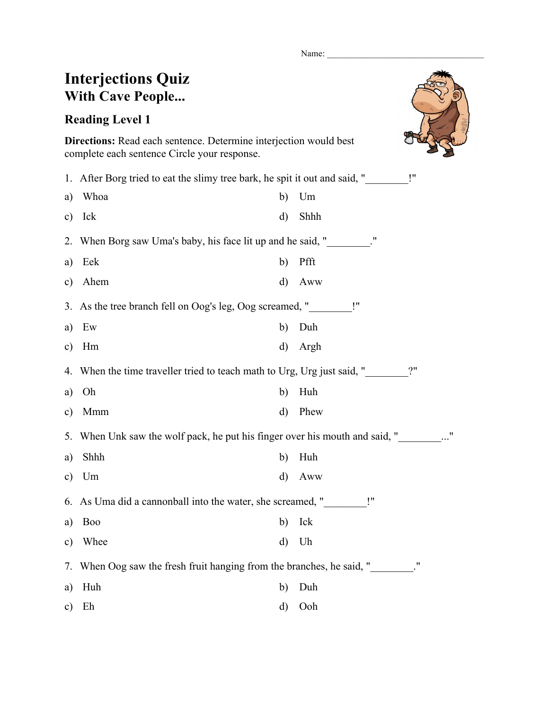Name:

## **Interjections Quiz With Cave People...**

**Reading Level 1**



**Directions:** Read each sentence. Determine interjection would best complete each sentence Circle your response.

| Whoa                                                                             | b)       | Um                                                       |  |  |
|----------------------------------------------------------------------------------|----------|----------------------------------------------------------|--|--|
| Ick                                                                              | d)       | Shhh                                                     |  |  |
|                                                                                  |          |                                                          |  |  |
| Eek                                                                              | b)       | Pfft                                                     |  |  |
| Ahem                                                                             | d)       | Aww                                                      |  |  |
| 3. As the tree branch fell on Oog's leg, Oog screamed, "_________!"              |          |                                                          |  |  |
| Ew                                                                               | b)       | Duh                                                      |  |  |
| Hm                                                                               | $\rm d)$ | Argh                                                     |  |  |
| 2"<br>When the time traveller tried to teach math to Urg, Urg just said, "<br>4. |          |                                                          |  |  |
| Oh                                                                               | b)       | Huh                                                      |  |  |
| Mmm                                                                              | d)       | Phew                                                     |  |  |
| 5. When Unk saw the wolf pack, he put his finger over his mouth and said, "      |          |                                                          |  |  |
| Shhh                                                                             | b)       | Huh                                                      |  |  |
| Um                                                                               | d)       | Aww                                                      |  |  |
| As Uma did a cannonball into the water, she screamed, "<br>6.                    |          |                                                          |  |  |
| <b>Boo</b>                                                                       | b)       | Ick                                                      |  |  |
| Whee                                                                             | d)       | Uh                                                       |  |  |
| When Oog saw the fresh fruit hanging from the branches, he said, "<br>7.         |          |                                                          |  |  |
| Huh                                                                              | b)       | Duh                                                      |  |  |
| Eh                                                                               | d)       | Ooh                                                      |  |  |
|                                                                                  |          | When Borg saw Uma's baby, his face lit up and he said, " |  |  |